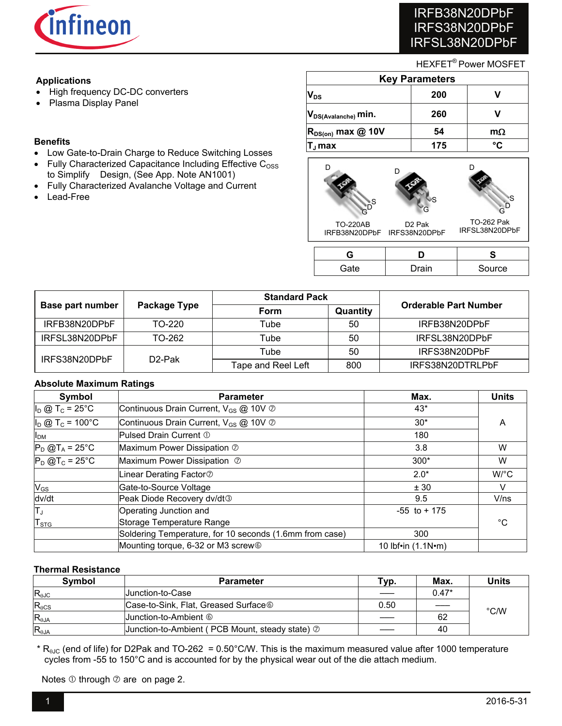

# IRFB38N20DPbF IRFS38N20DPbF IRFSL38N20DPbF

## HEXFET® Power MOSFET

# **Applications**

- High frequency DC-DC converters
- Plasma Display Panel

## **Benefits**

- Low Gate-to-Drain Charge to Reduce Switching Losses
- $\bullet$  Fully Characterized Capacitance Including Effective C<sub>OSS</sub> to Simplify Design, (See App. Note AN1001)
- Fully Characterized Avalanche Voltage and Current
- Lead-Free

| <b>Key Parameters</b>     |     |           |  |  |
|---------------------------|-----|-----------|--|--|
| $V_{DS}$                  | 200 |           |  |  |
| $ V_{DS(Avalanche)}$ min. | 260 |           |  |  |
| $R_{DS(on)}$ max @ 10V    | 54  | $m\Omega$ |  |  |
| ., max                    | 175 | °۲        |  |  |



| '∋ate | <b>Drain</b> | Source |
|-------|--------------|--------|

|                  |                     | <b>Standard Pack</b> |          |                              |  |
|------------------|---------------------|----------------------|----------|------------------------------|--|
| Base part number | Package Type        | Form                 | Quantity | <b>Orderable Part Number</b> |  |
| IRFB38N20DPbF    | TO-220              | Tube                 | 50       | IRFB38N20DPbF                |  |
| IRFSL38N20DPbF   | TO-262              | Tube                 | 50       | IRFSL38N20DPbF               |  |
|                  |                     | Tube                 | 50       | IRFS38N20DPbF                |  |
| IRFS38N20DPbF    | D <sub>2</sub> -Pak | Tape and Reel Left   | 800      | IRFS38N20DTRLPbF             |  |

## **Absolute Maximum Ratings**

| Symbol                         | <b>Parameter</b>                                        | Max.                       | <b>Units</b> |
|--------------------------------|---------------------------------------------------------|----------------------------|--------------|
| $I_D$ @ T <sub>c</sub> = 25°C  | Continuous Drain Current, V <sub>GS</sub> @ 10V 2       | $43*$                      |              |
| $I_D$ @ T <sub>c</sub> = 100°C | Continuous Drain Current, V <sub>GS</sub> @ 10V 2       | $30*$                      | A            |
| I <sub>DM</sub>                | Pulsed Drain Current 1                                  | 180                        |              |
| $P_D$ @T <sub>A</sub> = 25°C   | Maximum Power Dissipation 2                             | 3.8                        | W            |
| $P_D$ @T <sub>c</sub> = 25°C   | Maximum Power Dissipation 2                             | $300*$                     | W            |
|                                | Linear Derating Factor <sup>®</sup>                     | $2.0*$                     | W/°C         |
| $V_{GS}$                       | Gate-to-Source Voltage                                  | ± 30                       |              |
| dv/dt                          | Peak Diode Recovery dv/dt <sup>3</sup>                  | 9.5                        | V/ns         |
| IΤ」                            | Operating Junction and                                  | $-55$ to $+175$            |              |
| <b>T</b> <sub>STG</sub>        | Storage Temperature Range                               |                            | °C           |
|                                | Soldering Temperature, for 10 seconds (1.6mm from case) | 300                        |              |
|                                | Mounting torque, 6-32 or M3 screw <sup>®</sup>          | 10 lbf•in $(1.1N \cdot m)$ |              |

## **Thermal Resistance**

| <b>Symbol</b>   | <b>Parameter</b>                                        | Typ. | Max.    | Units |
|-----------------|---------------------------------------------------------|------|---------|-------|
| $R_{0JC}$       | <b>Uunction-to-Case</b>                                 |      | $0.47*$ |       |
| $R_{\theta CS}$ | Case-to-Sink, Flat, Greased Surface <sup>®</sup>        | 0.50 |         |       |
| $R_{\theta$ JA  |                                                         |      | 62      | °C/W  |
| $R_{\theta$ JA  | Junction-to-Ambient (PCB Mount, steady state) $\oslash$ |      | 40      |       |

\*  $R_{\theta JC}$  (end of life) for D2Pak and TO-262 = 0.50°C/W. This is the maximum measured value after 1000 temperature cycles from -55 to 150°C and is accounted for by the physical wear out of the die attach medium.

Notes  $\odot$  through  $\odot$  are on page 2.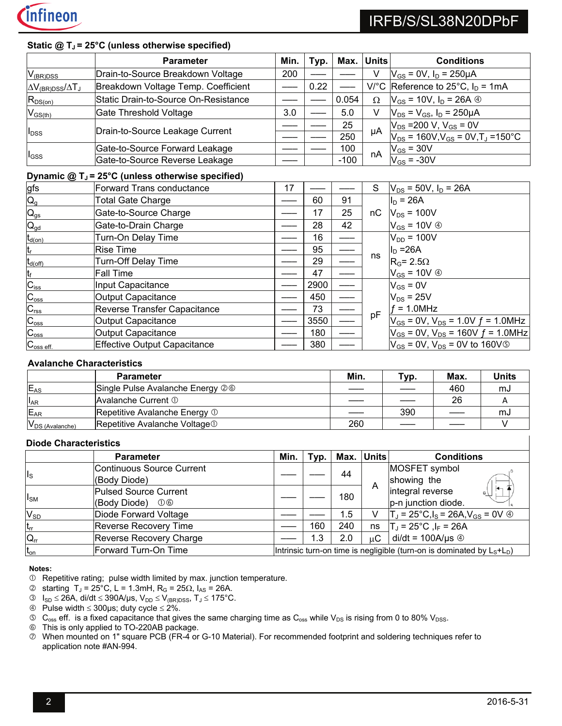

## Static @ T<sub>J</sub> = 25°C (unless otherwise specified)

|                                 | <b>Parameter</b>                                                 | Min. | Typ. |        | Max. Units | <b>Conditions</b>                                       |
|---------------------------------|------------------------------------------------------------------|------|------|--------|------------|---------------------------------------------------------|
| $V_{(BR)DSS}$                   | Drain-to-Source Breakdown Voltage                                | 200  |      |        |            | $V_{GS}$ = 0V, $I_D$ = 250µA                            |
| $\Delta V_{(BR)DSS}/\Delta T_J$ | Breakdown Voltage Temp. Coefficient                              |      | 0.22 |        |            | V/°C Reference to 25°C, $I_D = 1mA$                     |
| $R_{DS(on)}$                    | Static Drain-to-Source On-Resistance                             |      |      | 0.054  | $\Omega$   | $V_{GS}$ = 10V, $I_D$ = 26A $\circledcirc$              |
| $V_{GS(th)}$                    | Gate Threshold Voltage                                           | 3.0  |      | 5.0    | V          | $V_{DS} = V_{GS}$ , $I_D = 250 \mu A$                   |
|                                 |                                                                  |      |      | 25     | μA         | $V_{DS}$ =200 V, V <sub>GS</sub> = 0V                   |
| l <sub>DSS</sub>                | Drain-to-Source Leakage Current                                  |      |      | 250    |            | $V_{DS}$ = 160V, $V_{GS}$ = 0V, T <sub>J</sub> = 150 °C |
| l <sub>GSS</sub>                | Gate-to-Source Forward Leakage<br>Gate-to-Source Reverse Leakage |      |      | 100    |            | $V_{GS}$ = 30V                                          |
|                                 |                                                                  |      |      | $-100$ | nA         | $V_{GS}$ = -30V                                         |

## **Dynamic @ TJ = 25°C (unless otherwise specified)**

| <u>gfs</u>                  | Forward Trans conductance           | 17 |      |    | S  | $V_{DS}$ = 50V, $I_D$ = 26A                        |
|-----------------------------|-------------------------------------|----|------|----|----|----------------------------------------------------|
| $Q_{g}$                     | <b>Total Gate Charge</b>            |    | 60   | 91 |    | $I_D = 26A$                                        |
| $Q_{gs}$                    | Gate-to-Source Charge               |    | 17   | 25 | nC | $V_{DS}$ = 100V                                    |
| $Q_{gd}$                    | Gate-to-Drain Charge                |    | 28   | 42 |    | $V_{GS}$ = 10V $\circledA$                         |
| $t_{d(on)}$                 | Turn-On Delay Time                  |    | 16   |    |    | $V_{DD} = 100V$                                    |
| t,                          | <b>Rise Time</b>                    |    | 95   |    |    | $\ $ <sub>D</sub> = 26A                            |
| $t_{d(\text{off})}$         | <b>Turn-Off Delay Time</b>          |    | 29   |    | ns | $R_G$ = 2.5 $\Omega$                               |
| $\mathfrak{t}_{\mathsf{f}}$ | <b>Fall Time</b>                    |    | 47   |    |    | $V_{GS} = 10V \circledA$                           |
| $C_{iss}$                   | Input Capacitance                   |    | 2900 |    |    | $V_{GS} = 0V$                                      |
| $C_{\rm oss}$               | Output Capacitance                  |    | 450  |    |    | $V_{DS}$ = 25V                                     |
| $C_{\text{rss}}$            | Reverse Transfer Capacitance        |    | 73   |    |    | $f = 1.0$ MHz                                      |
| $C_{\rm oss}$               | Output Capacitance                  |    | 3550 |    | pF | $V_{GS}$ = 0V, V <sub>DS</sub> = 1.0V $f$ = 1.0MHz |
| $C_{\rm oss}$               | Output Capacitance                  |    | 180  |    |    | $V_{GS}$ = 0V, $V_{DS}$ = 160V $f$ = 1.0MHz        |
| $C_{\text{oss eff.}}$       | <b>Effective Output Capacitance</b> |    | 380  |    |    | $V_{GS}$ = 0V, $V_{DS}$ = 0V to 160V $\circ$       |

### **Avalanche Characteristics**

|                      | <b>Parameter</b>                          | Min. | Typ. | Max. | <b>Units</b> |
|----------------------|-------------------------------------------|------|------|------|--------------|
| E <sub>AS</sub>      | Single Pulse Avalanche Energy 26          |      |      | 460  | mJ           |
| $I_{AR}$             | Avalanche Current 1                       |      |      | 26   |              |
| E <sub>AR</sub>      | Repetitive Avalanche Energy 1             |      | 390  |      | mJ           |
| $V_{DS (Avalanche)}$ | Repetitive Avalanche Voltage <sup>1</sup> | 260  |      |      |              |

### **Diode Characteristics**

|                         | <b>Parameter</b>                             | Min.                                                                    | Typ. |     | Max. Units | <b>Conditions</b>                                             |
|-------------------------|----------------------------------------------|-------------------------------------------------------------------------|------|-----|------------|---------------------------------------------------------------|
| $\mathsf{I}_\mathsf{S}$ | Continuous Source Current                    |                                                                         |      | 44  |            | MOSFET symbol                                                 |
|                         | (Body Diode)<br><b>Pulsed Source Current</b> |                                                                         |      |     | A          | showing the<br>┡<br>integral reverse                          |
| $I_{SM}$                | (Body Diode) 06                              |                                                                         |      | 180 |            | p-n junction diode.                                           |
| $V_{SD}$                | Diode Forward Voltage                        |                                                                         |      | 1.5 | V          | $T_J = 25^{\circ}C$ , $I_S = 26A$ , $V_{GS} = 0V$ $\circledA$ |
| $t_{rr}$                | <b>Reverse Recovery Time</b>                 |                                                                         | 160  | 240 | ns         | $ T_{J} = 25^{\circ}C$ , $I_{F} = 26A$                        |
| $Q_{rr}$                | <b>Reverse Recovery Charge</b>               |                                                                         | 1.3  | 2.0 | иC         | $di/dt = 100A/\mu s$ $\circledcirc$                           |
| $t_{on}$                | Forward Turn-On Time                         | Intrinsic turn-on time is negligible (turn-on is dominated by $LS+LD$ ) |      |     |            |                                                               |

#### **Notes:**

- Repetitive rating; pulse width limited by max. junction temperature.
- $\oslash$  starting T<sub>J</sub> = 25°C, L = 1.3mH, R<sub>G</sub> = 25 $\Omega$ , I<sub>AS</sub> = 26A.
- $\textcircled{s}$   $I_{SD} \leq 26A$ , di/dt  $\leq 390A/\mu s$ ,  $V_{DD} \leq V_{(BR)DSS}$ ,  $T_J \leq 175^{\circ}C$ .
- $\circledast$  Pulse width  $\leq$  300µs; duty cycle  $\leq$  2%.
- $\circ$  C<sub>oss</sub> eff. is a fixed capacitance that gives the same charging time as C<sub>oss</sub> while V<sub>DS</sub> is rising from 0 to 80% V<sub>DSS</sub>.
- This is only applied to TO-220AB package.
- When mounted on 1" square PCB (FR-4 or G-10 Material). For recommended footprint and soldering techniques refer to application note #AN-994.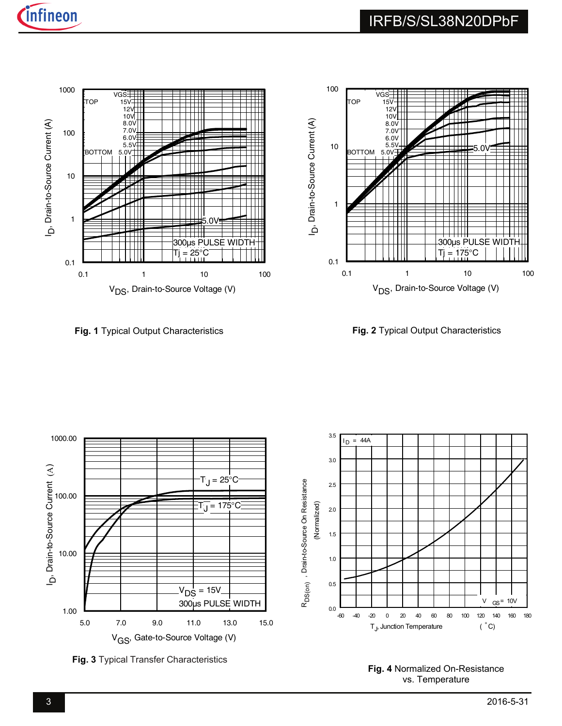



**Fig. 1** Typical Output Characteristics

**Fig. 2** Typical Output Characteristics



**Fig. 3** Typical Transfer Characteristics

**Fig. 4** Normalized On-Resistance vs. Temperature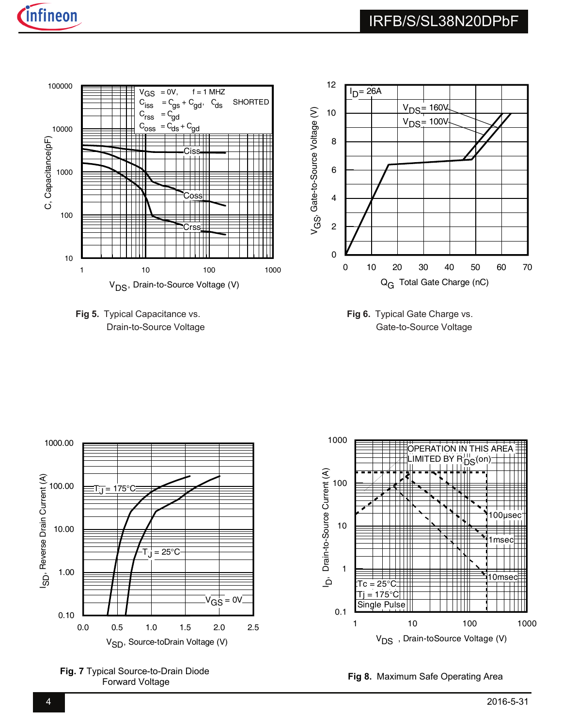



**Fig 5.** Typical Capacitance vs. Drain-to-Source Voltage

**Fig 6.** Typical Gate Charge vs. Gate-to-Source Voltage



**Fig. 7** Typical Source-to-Drain Diode<br>
Fig 8. Maximum Safe Operating Area Forward Voltage

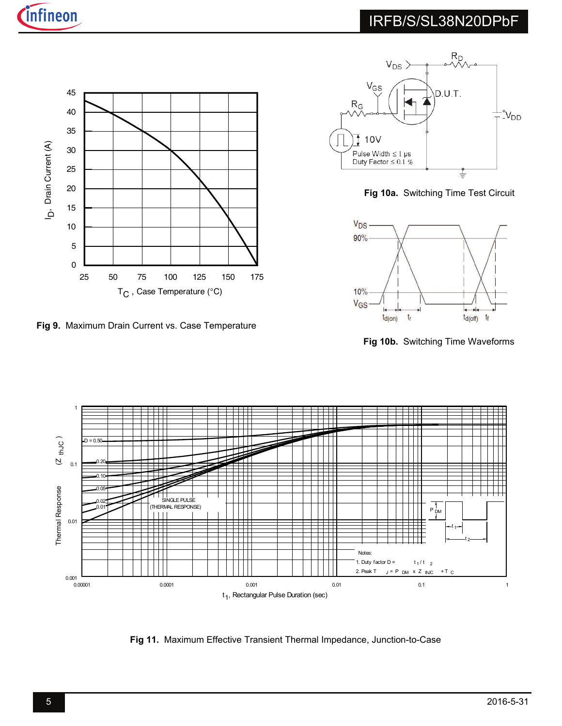



**Fig 9.** Maximum Drain Current vs. Case Temperature



**Fig 10a.** Switching Time Test Circuit



**Fig 10b.** Switching Time Waveforms



**Fig 11.** Maximum Effective Transient Thermal Impedance, Junction-to-Case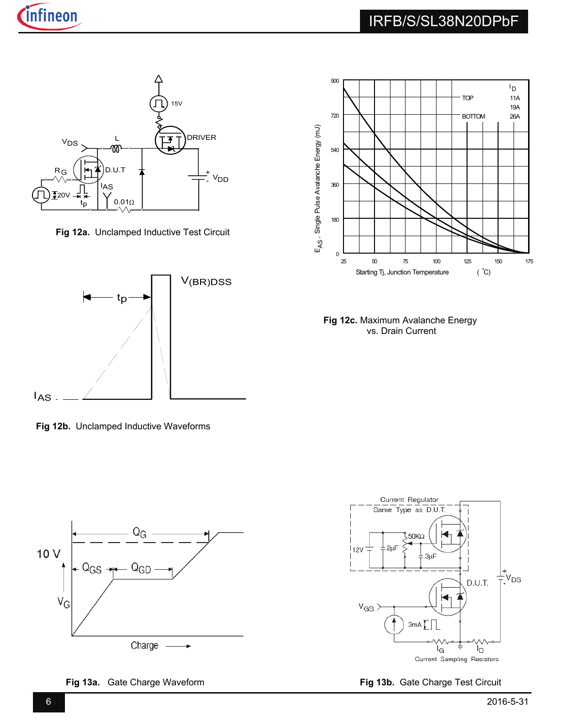

**Fig 12a.** Unclamped Inductive Test Circuit



**Fig 12b.** Unclamped Inductive Waveforms



**Fig 13a.** Gate Charge Waveform **Fig 13b.** Gate Charge Test Circuit



**Fig 12c.** Maximum Avalanche Energy vs. Drain Current

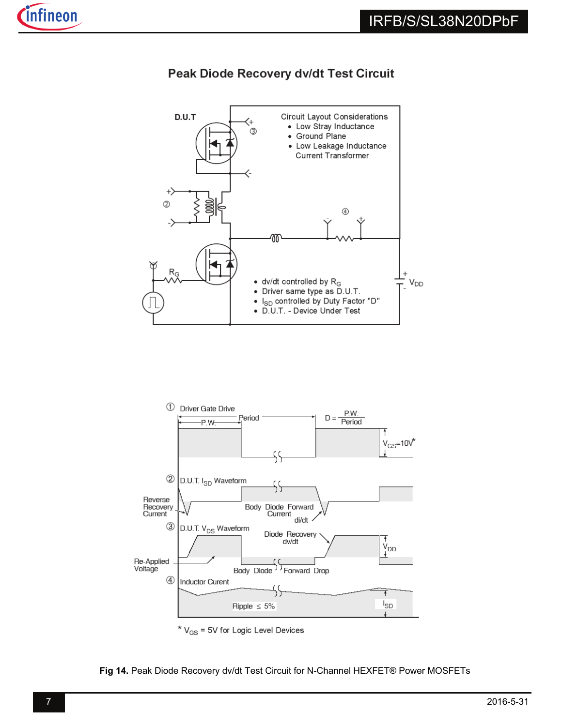

# Peak Diode Recovery dv/dt Test Circuit





**Fig 14.** Peak Diode Recovery dv/dt Test Circuit for N-Channel HEXFET® Power MOSFETs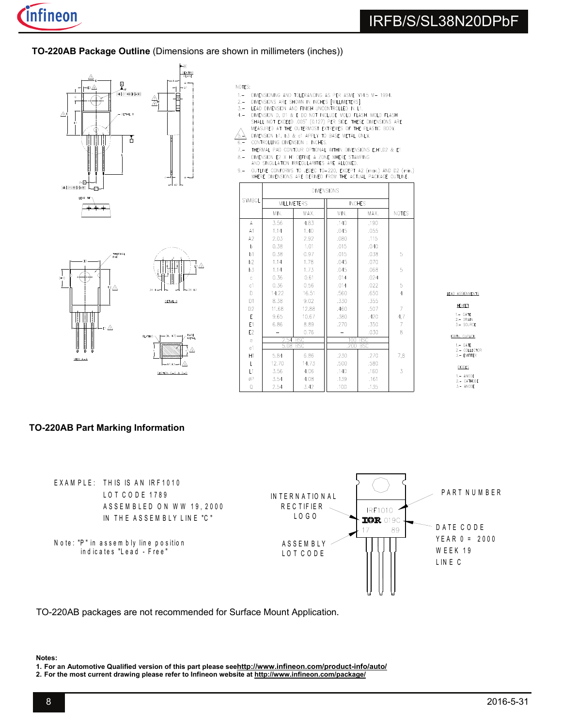**TO-220AB Package Outline** (Dimensions are shown in millimeters (inches))





- NOTES:
- DIMENSIONING AND TOLERANCING AS PER ASME Y14.5 M- 1994.  $1 -$
- $2. -$
- $3 -$
- DIMENSIONING AND TOLED AND INCHEST MADE THAD M-T 1949.<br>DIMENSIONS ARE SHOWN IN INCHEST MILLIMETERS].<br>LEAD DIMENSION AND FINISH UNCONTROLLED IN L1.<br>DIMENSION D, D1 & E DO NOT INCLUDE MOLD FLASH, MOLD FLASH<br>SHALL NOT EXCEED  $4 -$
- DIMENSION b1, b3 & c1 APPLY TO BASE METAL ONLY.
- $\mathbb{A}$  $6 -$ CONTROLLING DIMENSION : INCHES.
- $7, -$ THERMAL PAD CONTOUR OPTIONAL WITHIN DIMENSIONS E, H1, D2 & E1
- DIMENSION E2 X H1 DEFINE A ZONE WHERE STAMPING<br>AND SINGULATION IRREGULARITIES ARE ALLOWED.  $8 -$
- 
- AND SUBDATION INTERFERING THE PLACED TO THE AND DISPOSED OUTLINE CONFORMS TO JEDEC TO-220, EXCEPT A2 (max.) AND D2 (min.)<br>WHERE DIMENSIONS ARE DERIVED FROM THE ACTUAL PACKAGE OUTLINE.  $9 -$

| SYMBOL         |       | <b>MILLIMETERS</b> |      | <b>INCHES</b>      |                |
|----------------|-------|--------------------|------|--------------------|----------------|
|                | MIN.  | MAX.               | MIN. | MAX.               | <b>NOTES</b>   |
| A              | 3.56  | 4.83               | .140 | .190               |                |
| A1             | 1.14  | 1.40               | .045 | .055               |                |
| A2             | 2.03  | 2.92               | .080 | .115               |                |
| b              | 0.38  | 1.01               | .015 | .040               |                |
| b1             | 0.38  | 0.97               | .015 | .038               | 5              |
| b2             | 1.14  | 1.78               | .045 | .070               |                |
| b <sub>3</sub> | 1.14  | 1.73               | .045 | .068               | 5              |
| $\mathsf{C}$   | 0.36  | 0.61               | .014 | .024               |                |
| c <sub>1</sub> | 0.36  | 0.56               | .014 | .022               | 5              |
| D              | 14.22 | 16.51              | .560 | .650               | $\overline{4}$ |
| D <sub>1</sub> | 8.38  | 9.02               | .330 | .355               |                |
| D <sub>2</sub> | 11.68 | 12.88              | .460 | .507               | 7              |
| E              | 9.65  | 10.67              | .380 | .420               | 4,7            |
| E1             | 6.86  | 8.89               | .270 | .350               | 7              |
| E <sub>2</sub> |       | 0.76               |      | .030               | 8              |
| $\mathsf{e}\,$ | 2.54  | <b>BSC</b>         | .100 | <b>BSC</b>         |                |
| e1             | 5.08  | <b>BSC</b>         |      | .200<br><b>BSC</b> |                |
| H1             | 5.84  | 6.86               | .230 | .270               | 7.8            |
| L              | 12.70 | 14.73              | .500 | .580               |                |
| $\mathsf{L}$   | 3.56  | 4.06               | ,140 | .160               | 3              |
| øΡ             | 3.54  | 4.08               | .139 | .161               |                |
| Q              | 2.54  | 3.42               | .100 | .135               |                |

LEAD ASSIGNMENTS

HEXFET 1. – GATE<br>2. – DRAIN<br>3. – SOURCE

IGBTs, CoPACK 1.- GATE<br>2.- COLLECTOR<br>3.- EMITTER

**DIODES** 1.- ANODE<br>2.- CATHODE<br>3.- ANODE

## **TO-220AB Part Marking Information**



TO-220AB packages are not recommended for Surface Mount Application.

### **Notes:**

**1. For an Automotive Qualified version of this part please seehttp://www.infineon.com/product-info/auto/**

**2. For the most current drawing please refer to Infineon website at http://www.infineon.com/package/**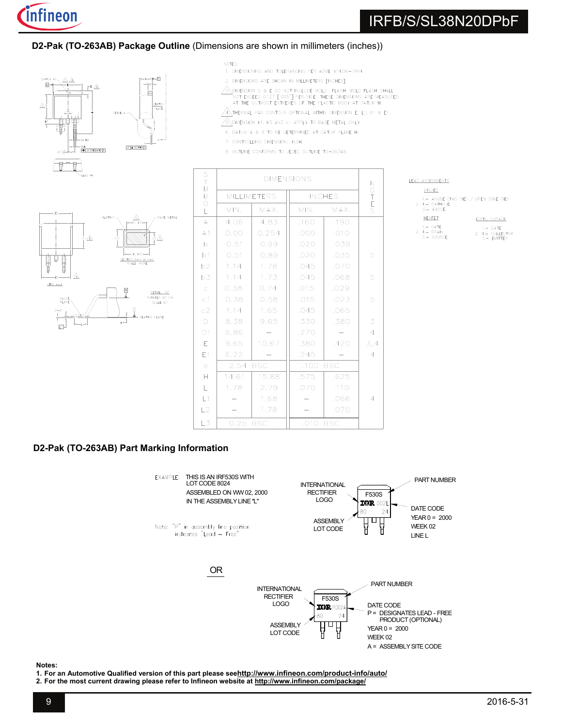

### **D2-Pak (TO-263AB) Package Outline** (Dimensions are shown in millimeters (inches))



FAD TR



NOTES:

- 1. DIMENSIONING AND TOLERANCING PER ASME Y14.5M-1994
- 2. DIMENSIONS ARE SHOWN IN MILLIMETERS FINCHEST
- $\sqrt{3}$  DIMENSION D & E DO NOT INCLUDE MOLD FLASH. MOLD FLASH SHALL NOT EXCEED 0.127 [.005"] PER SIDE. THESE DIMENSIONS ARE MEASURED<br>AT THE OUTMOST EXTREMES OF THE PLASTIC BODY AT DATUM H.
- ANTHERMAL PAD CONTOUR OPTIONAL WITHIN DIMENSION E, L1, D1 & E1.
- $\sqrt{6}$  dimension b1, b3 and c1 apply to base Metal only.
- 6. DATUM A & B TO BE DETERMINED AT DATUM PLANE H.
- 7. CONTROLLING DIMENSION: INCH.
- 8. OUTLINE CONFORMS TO JEDEC OUTLINE TO-263AB.

| AD. | A SSICNMENT |
|-----|-------------|
|     |             |



| S<br>Y<br>M                 | <b>DIMENSIONS</b>  |            |                    |                  |                |  |
|-----------------------------|--------------------|------------|--------------------|------------------|----------------|--|
| B                           | <b>MILLIMETERS</b> |            | <b>INCHES</b>      | O<br>T<br>E<br>S |                |  |
| $\circ$<br>$\overline{L}$   | MIN.               | MAX.       | MIN.               | MAX.             |                |  |
| A                           | 4.06               | 4.83       | .160               | .190             |                |  |
| A1                          | 0.00               | 0.254      | .000               | .010             |                |  |
| b                           | 0.51               | 0.99       | .020               | .039             |                |  |
| b1                          | 0.51               | 0.89       | .020               | .035             | 5              |  |
| b2                          | 1.14               | 1.78       | .045               | .070             |                |  |
| b3                          | 1.14               | 1.73       | .045               | .068             | 5              |  |
| $\mathsf C$                 | 0.38               | 0.74       | .015               | .029             |                |  |
| C <sub>1</sub>              | 0.38               | 0.58       | .015               | .023             | 5              |  |
| c2                          | 1,14               | 1.65       | .045               | .065             |                |  |
| $\Box$                      | 8.38               | 9.65       | .330               | .380             | 3              |  |
| D <sub>1</sub>              | 6.86               |            | .270               |                  | $\overline{4}$ |  |
| E                           | 9.65               | 10.67      | .380               | .420             | 3,4            |  |
| E1                          | 6.22               |            | .245               |                  | $\overline{4}$ |  |
| $\in$                       | 2.54               | <b>BSC</b> | .100<br><b>BSC</b> |                  |                |  |
| Н                           | 14.61              | 15.88      | .575               | .625             |                |  |
| $\mathsf{L}% _{\mathsf{L}}$ | 1.78               | 2.79       | .070               | .110             |                |  |
| L1                          |                    | 1.68       |                    | .066             | $\overline{4}$ |  |
| L2                          |                    | 1.78       |                    | .070             |                |  |
| L3                          | 0.25               | <b>BSC</b> | .010<br><b>BSC</b> |                  |                |  |

#### <u>TS</u> **DIODES**

ANODE (TWO DIE) / OPEN (ONE DIE)  $2, 4. - CATHODE$ <br> $3. - ANDDE$ HEXFET IGBTs, CoPACK  $1 - CATF$  $1, -$  GATE 1. – BATE<br>4. – DRAIN<br>3. – SOURCE  $\overline{2},$  $2, 4, -$  COLLECTOR<br>3. - EMITTER

## **D2-Pak (TO-263AB) Part Marking Information**



**Notes:** 

**1. For an Automotive Qualified version of this part please seehttp://www.infineon.com/product-info/auto/**

**2. For the most current drawing please refer to Infineon website at http://www.infineon.com/package/**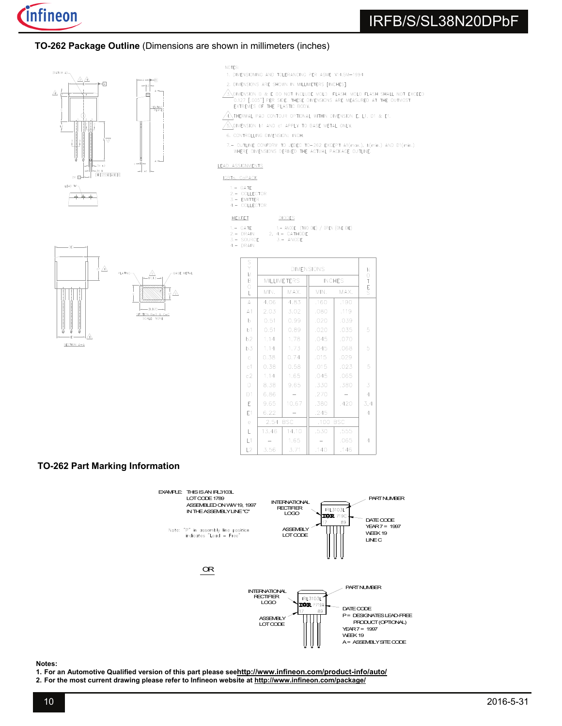

### **TO-262 Package Outline** (Dimensions are shown in millimeters (inches)





- 1. DIMENSIONING AND TOLERANCING PER ASME Y14.5M-1994
- 2. DIMENSIONS ARE SHOWN IN MILLIMETERS [INCHES].
- $\sqrt{3}$  dimension d & E do not include mold flash. Mold flash shall not exceed 0.127 [.005"] PER SIDE. THESE DIMENSIONS ARE MEASURED AT THE OUTMOST EXTREMES OF THE PLASTIC BODY.
- $\sqrt{4}$  thermal pad contour optional within dimension E, L1, D1 & E1.
- $\sqrt{\frac{2}{3}}$  dimension b1 and c1 apply to base metal only.
- 6. CONTROLLING DIMENSION: INCH.
- 7. OUTLINE CONFORM TO JEDEC TO-262 EXCEPT A1 $(m\alpha x, )$ , b $(min.)$  AND D1 $(min.)$ <br>WHERE DIMENSIONS DERIVED THE ACTUAL PACKAGE OUTLINE.

#### LEAD ASSIGNMENTS

| IGR. | . n. s |
|------|--------|

- 
- 1.- GATE<br>2.- COLLECTOR<br>3.- EMITTER 4. - COLLECTOR

HEXFET **DIODES** 

- $1 GATE$ 1.- ANODE (TWO DIE) / OPEN (ONE DIE) 2,  $4 - CATHODE$ <br>3. - ANODE
- 2. DRAIN<br>3. SOURCE
- $4 DRAN$



| S<br>Y<br>M         | <b>DIMENSIONS</b>  |       |                    |      | N                |
|---------------------|--------------------|-------|--------------------|------|------------------|
| B<br>$\overline{O}$ | <b>MILLIMETERS</b> |       | <b>INCHES</b>      |      | O<br>T<br>E<br>S |
| L                   | MIN.               | MAX.  | MIN.               | MAX. |                  |
| A                   | 4,06               | 4.83  | .160               | .190 |                  |
| A1                  | 2.03               | 3.02  | .080               | .119 |                  |
| b                   | 0.51               | 0.99  | .020               | .039 |                  |
| b1                  | 0.51               | 0.89  | .020               | .035 | 5                |
| b2                  | 1.14               | 1.78  | .045               | .070 |                  |
| b3                  | 1.14               | 1.73  | .045               | .068 | 5                |
| $\mathbf{C}$        | 0.38               | 0.74  | .015               | .029 |                  |
| c1                  | 0.38               | 0.58  | .015               | .023 | 5                |
| c2                  | 1.14               | 1.65  | .045               | .065 |                  |
| D                   | 8.38               | 9.65  | .330               | .380 | 3                |
| D <sub>1</sub>      | 6.86               |       | .270               |      | $\overline{4}$   |
| E.                  | 9.65               | 10.67 | .380               | .420 | 3,4              |
| E1                  | 6.22               |       | .245               |      | 4                |
| e                   | 2.54<br><b>BSC</b> |       | .100<br><b>BSC</b> |      |                  |
| L                   | 13.46              | 14.10 | .530               | .555 |                  |
| L1                  |                    | 1.65  |                    | .065 | 4                |
| L2                  | 3.56               | 3.71  | .140               | .146 |                  |

### **TO-262 Part Marking Information**



#### **Notes:**

- **1. For an Automotive Qualified version of this part please seehttp://www.infineon.com/product-info/auto/**
- **2. For the most current drawing please refer to Infineon website at http://www.infineon.com/package/**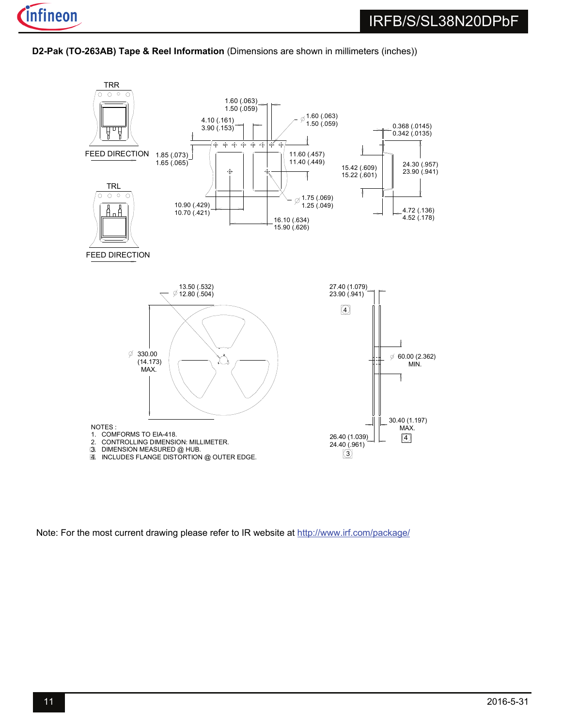**D2-Pak (TO-263AB) Tape & Reel Information** (Dimensions are shown in millimeters (inches))



Note: For the most current drawing please refer to IR website at http://www.irf.com/package/